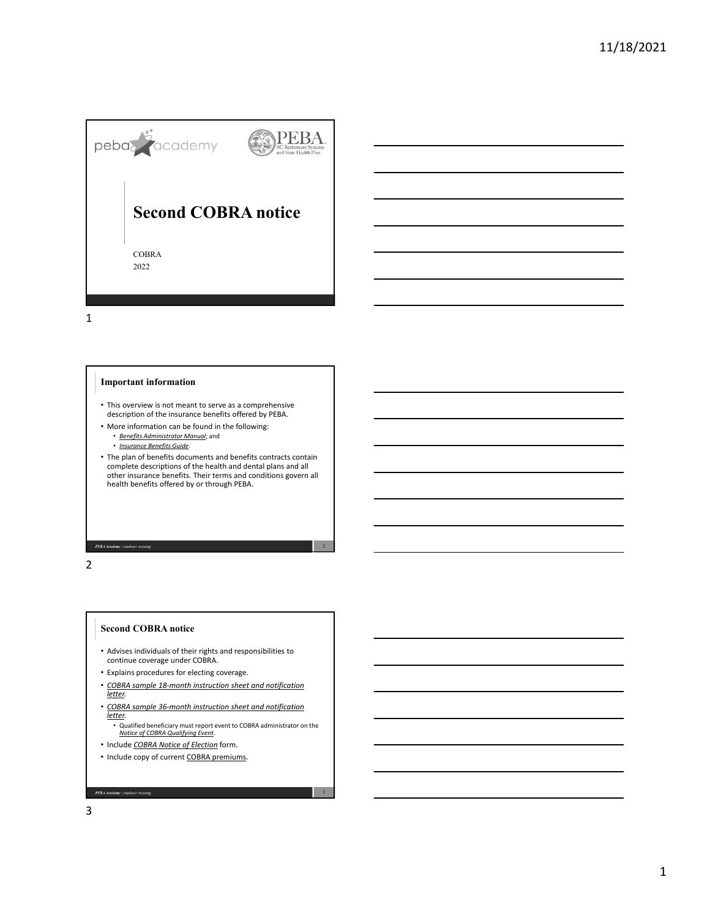

1

### **Important information**

- This overview is not meant to serve as a comprehensive description of the insurance benefits offered by PEBA.
- More information can be found in the following:
	- *Benefits Administrator Manual*; and
	- *Insurance Benefits Guide*.
- The plan of benefits documents and benefits contracts contain complete descriptions of the health and dental plans and all other insurance benefits. Their terms and conditions govern all health benefits offered by or through PEBA.

PEBA Academy | employer training

2

### **Second COBRA notice**

- Advises individuals of their rights and responsibilities to continue coverage under COBRA.
- Explains procedures for electing coverage.
- *COBRA sample 18‐month instruction sheet and notification letter.*
- *COBRA sample 36‐month instruction sheet and notification letter.*
- Qualified beneficiary must report event to COBRA administrator on the *Notice of COBRA Qualifying Event*.

3

- Include *COBRA Notice of Election* form.
- Include copy of current COBRA premiums.

**PEBA Academy** | employer training

3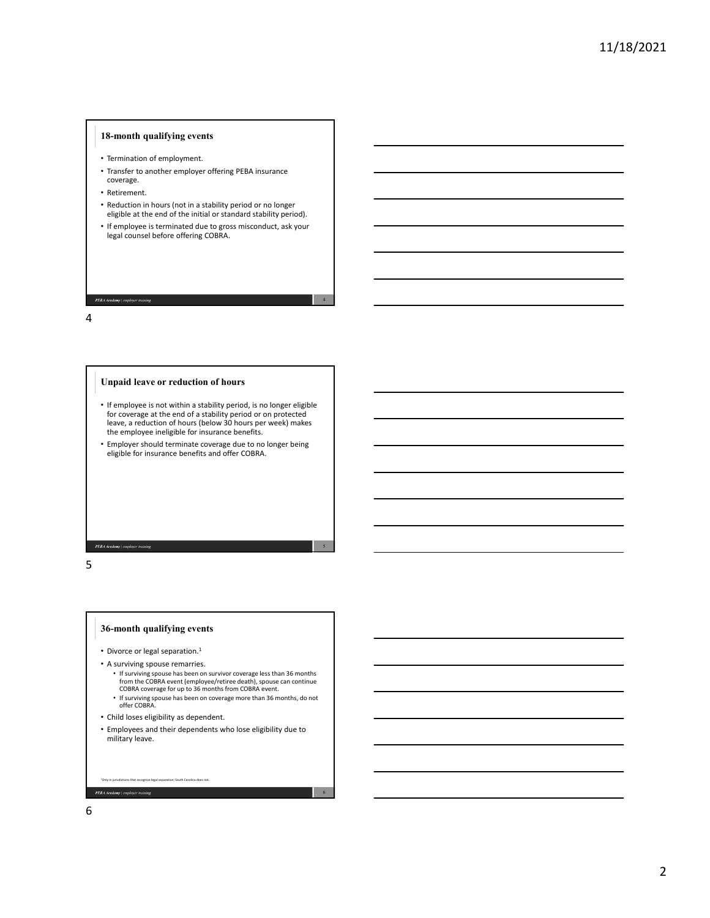### **18-month qualifying events**

- Termination of employment.
- Transfer to another employer offering PEBA insurance coverage.
- Retirement.
- Reduction in hours (not in a stability period or no longer eligible at the end of the initial or standard stability period).
- If employee is terminated due to gross misconduct, ask your legal counsel before offering COBRA.

4

5

### 4

### **Unpaid leave or reduction of hours**

- If employee is not within a stability period, is no longer eligible for coverage at the end of a stability period or on protected leave, a reduction of hours (below 30 hours per week) makes the employee ineligible for insurance benefits.
- Employer should terminate coverage due to no longer being eligible for insurance benefits and offer COBRA.

#### PEBA Academy | employer training

5



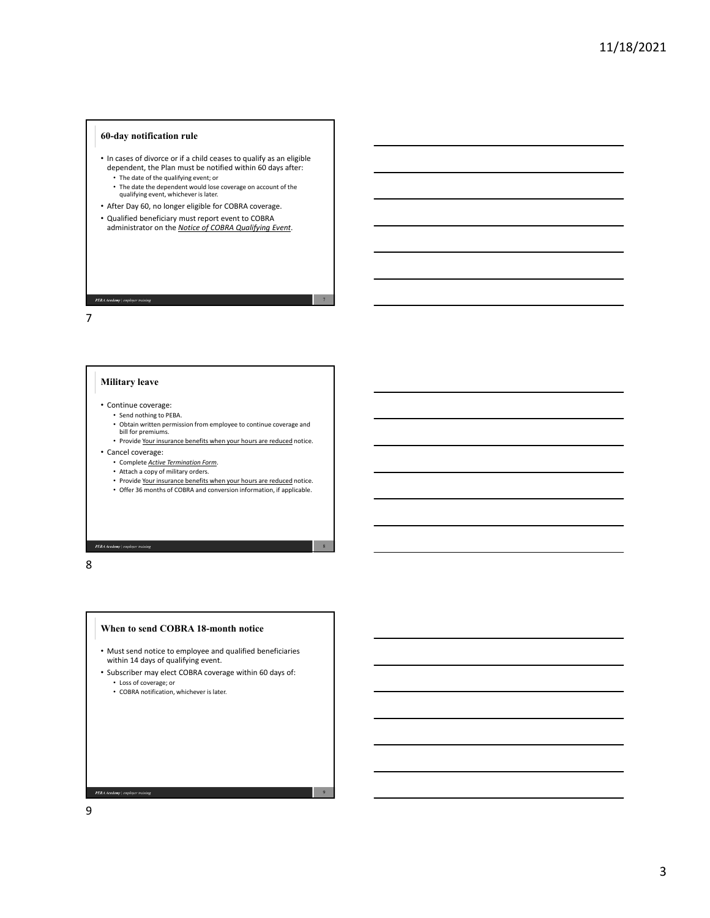### **60-day notification rule**

- In cases of divorce or if a child ceases to qualify as an eligible dependent, the Plan must be notified within 60 days after:
	- The date of the qualifying event; or
	- The date the dependent would lose coverage on account of the qualifying event, whichever is later.
- After Day 60, no longer eligible for COBRA coverage.
- Qualified beneficiary must report event to COBRA administrator on the *Notice of COBRA Qualifying Event*.

7

### **Military leave**

- Continue coverage:
	- Send nothing to PEBA.
	- Obtain written permission from employee to continue coverage and bill for premiums.

7

8

9

- Provide Your insurance benefits when your hours are reduced notice.
- Cancel coverage:
	- Complete *Active Termination Form*.
	- Attach a copy of military orders.
	- Provide Your insurance benefits when your hours are reduced notice. • Offer 36 months of COBRA and conversion information, if applicable.
	-

PEBA Academy | employer training

8

### **When to send COBRA 18-month notice** • Must send notice to employee and qualified beneficiaries within 14 days of qualifying event.

- Subscriber may elect COBRA coverage within 60 days of: • Loss of coverage; or
	- COBRA notification, whichever is later.

9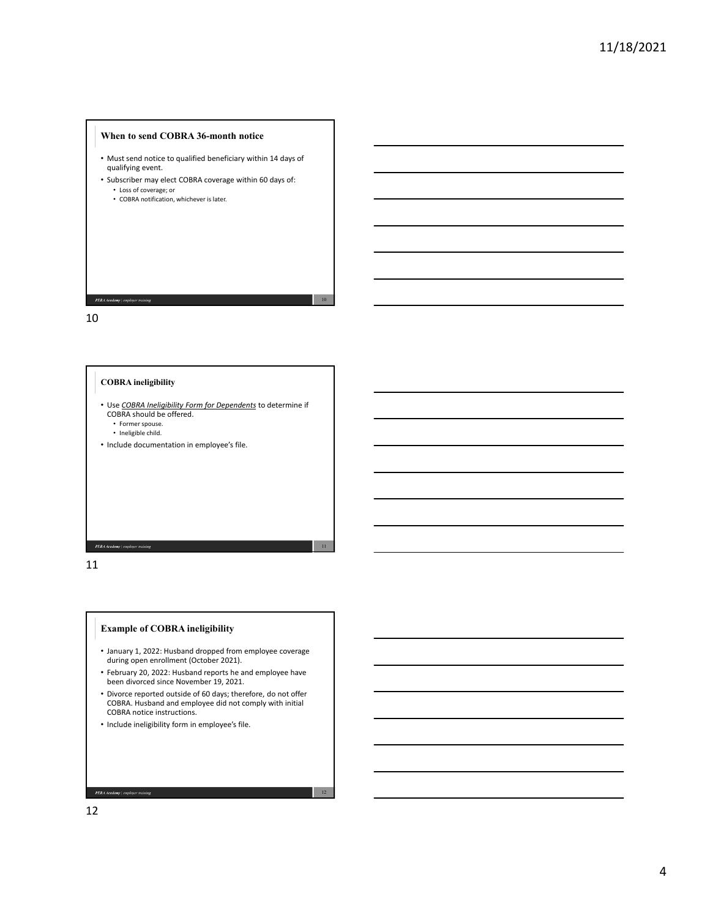### **When to send COBRA 36-month notice**

- Must send notice to qualified beneficiary within 14 days of qualifying event.
- Subscriber may elect COBRA coverage within 60 days of: • Loss of coverage; or
	- COBRA notification, whichever is later.

# **PEBA Academy** | employer training

10

## **COBRA ineligibility**

• Use *COBRA Ineligibility Form for Dependents* to determine if COBRA should be offered.

10

12

- Former spouse.
- Ineligible child.
- Include documentation in employee's file.

PEBA Academy | employer training

11

### **Example of COBRA ineligibility**

- January 1, 2022: Husband dropped from employee coverage during open enrollment (October 2021).
- February 20, 2022: Husband reports he and employee have been divorced since November 19, 2021.
- Divorce reported outside of 60 days; therefore, do not offer COBRA. Husband and employee did not comply with initial COBRA notice instructions.
- Include ineligibility form in employee's file.

### **PEBA Academy** | employer training